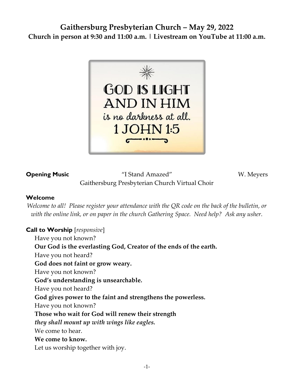# **Gaithersburg Presbyterian Church – May 29, 2022 Church in person at 9:30 and 11:00 a.m. | Livestream on YouTube at 11:00 a.m.**



**Opening Music** "I Stand Amazed" W. Meyers Gaithersburg Presbyterian Church Virtual Choir

# **Welcome**

*Welcome to all! Please register your attendance with the QR code on the back of the bulletin, or with the online link, or on paper in the church Gathering Space. Need help? Ask any usher.*

# **Call to Worship** [*responsive*]

Have you not known? **Our God is the everlasting God, Creator of the ends of the earth.** Have you not heard? **God does not faint or grow weary.** Have you not known? **God's understanding is unsearchable.** Have you not heard? **God gives power to the faint and strengthens the powerless.** Have you not known? **Those who wait for God will renew their strength** *they shall mount up with wings like eagles.* We come to hear. **We come to know.** Let us worship together with joy.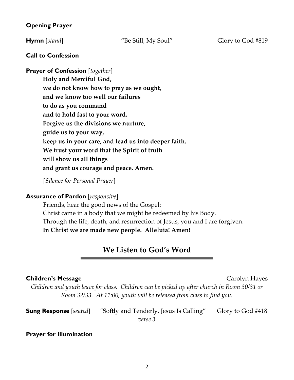# **Opening Prayer**

# **Call to Confession**

**Prayer of Confession** [*together*]

**Holy and Merciful God, we do not know how to pray as we ought, and we know too well our failures to do as you command and to hold fast to your word. Forgive us the divisions we nurture, guide us to your way, keep us in your care, and lead us into deeper faith. We trust your word that the Spirit of truth will show us all things and grant us courage and peace. Amen.**

[*Silence for Personal Prayer*]

# **Assurance of Pardon** [*responsive*]

Friends, hear the good news of the Gospel: Christ came in a body that we might be redeemed by his Body. Through the life, death, and resurrection of Jesus, you and I are forgiven. **In Christ we are made new people. Alleluia! Amen!** 

# **We Listen to God's Word**

#### **Children's Message Carolyn Hayes Carolyn Hayes**

*Children and youth leave for class. Children can be picked up after church in Room 30/31 or Room 32/33. At 11:00, youth will be released from class to find you.* 

| <b>Sung Response</b> [seated] | "Softly and Tenderly, Jesus Is Calling" | Glory to God #418 |
|-------------------------------|-----------------------------------------|-------------------|
|                               | verse 3                                 |                   |

# **Prayer for Illumination**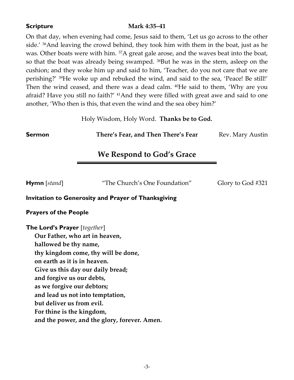# **Scripture Mark 4:35–41**

On that day, when evening had come, Jesus said to them, 'Let us go across to the other side.' 36And leaving the crowd behind, they took him with them in the boat, just as he was. Other boats were with him. <sup>37</sup>A great gale arose, and the waves beat into the boat, so that the boat was already being swamped. 38But he was in the stern, asleep on the cushion; and they woke him up and said to him, 'Teacher, do you not care that we are perishing?' 39He woke up and rebuked the wind, and said to the sea, 'Peace! Be still!' Then the wind ceased, and there was a dead calm. <sup>40</sup>He said to them, 'Why are you afraid? Have you still no faith?' <sup>41</sup>And they were filled with great awe and said to one another, 'Who then is this, that even the wind and the sea obey him?'

Holy Wisdom, Holy Word. **Thanks be to God.**

**Sermon There's Fear, and Then There's Fear** Rev. Mary Austin

# **We Respond to God's Grace**

**Hymn** [*stand*] "The Church's One Foundation" Glory to God #321

# **Invitation to Generosity and Prayer of Thanksgiving**

# **Prayers of the People**

**The Lord's Prayer** [*together*]

**Our Father, who art in heaven, hallowed be thy name, thy kingdom come, thy will be done, on earth as it is in heaven. Give us this day our daily bread; and forgive us our debts, as we forgive our debtors; and lead us not into temptation, but deliver us from evil. For thine is the kingdom, and the power, and the glory, forever. Amen.**